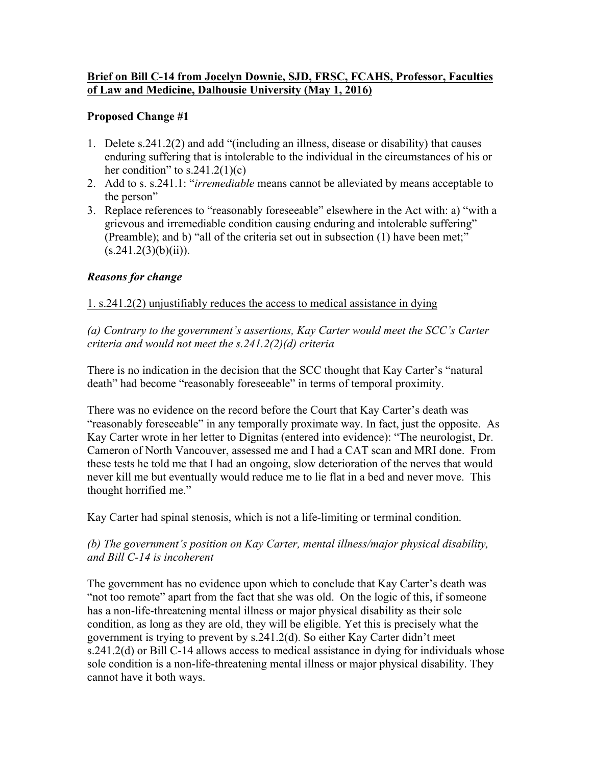### **Brief on Bill C-14 from Jocelyn Downie, SJD, FRSC, FCAHS, Professor, Faculties of Law and Medicine, Dalhousie University (May 1, 2016)**

### **Proposed Change #1**

- 1. Delete s.241.2(2) and add "(including an illness, disease or disability) that causes enduring suffering that is intolerable to the individual in the circumstances of his or her condition" to  $s.241.2(1)(c)$
- 2. Add to s. s.241.1: "*irremediable* means cannot be alleviated by means acceptable to the person"
- 3. Replace references to "reasonably foreseeable" elsewhere in the Act with: a) "with a grievous and irremediable condition causing enduring and intolerable suffering" (Preamble); and b) "all of the criteria set out in subsection (1) have been met;"  $(s.241.2(3)(b)(ii))$ .

### *Reasons for change*

## 1. s.241.2(2) unjustifiably reduces the access to medical assistance in dying

*(a) Contrary to the government's assertions, Kay Carter would meet the SCC's Carter criteria and would not meet the s.241.2(2)(d) criteria*

There is no indication in the decision that the SCC thought that Kay Carter's "natural death" had become "reasonably foreseeable" in terms of temporal proximity.

There was no evidence on the record before the Court that Kay Carter's death was "reasonably foreseeable" in any temporally proximate way. In fact, just the opposite. As Kay Carter wrote in her letter to Dignitas (entered into evidence): "The neurologist, Dr. Cameron of North Vancouver, assessed me and I had a CAT scan and MRI done. From these tests he told me that I had an ongoing, slow deterioration of the nerves that would never kill me but eventually would reduce me to lie flat in a bed and never move. This thought horrified me."

Kay Carter had spinal stenosis, which is not a life-limiting or terminal condition.

## *(b) The government's position on Kay Carter, mental illness/major physical disability, and Bill C-14 is incoherent*

The government has no evidence upon which to conclude that Kay Carter's death was "not too remote" apart from the fact that she was old. On the logic of this, if someone has a non-life-threatening mental illness or major physical disability as their sole condition, as long as they are old, they will be eligible. Yet this is precisely what the government is trying to prevent by s.241.2(d). So either Kay Carter didn't meet s.241.2(d) or Bill C-14 allows access to medical assistance in dying for individuals whose sole condition is a non-life-threatening mental illness or major physical disability. They cannot have it both ways.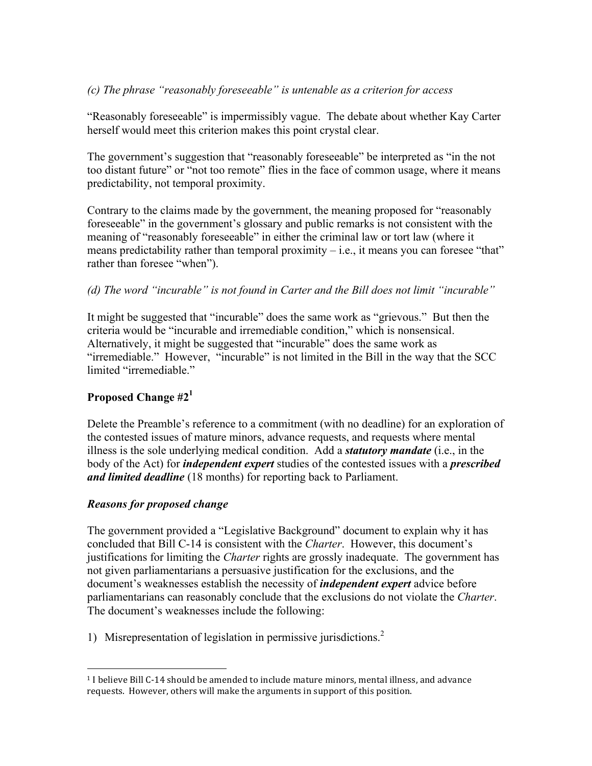## *(c) The phrase "reasonably foreseeable" is untenable as a criterion for access*

"Reasonably foreseeable" is impermissibly vague. The debate about whether Kay Carter herself would meet this criterion makes this point crystal clear.

The government's suggestion that "reasonably foreseeable" be interpreted as "in the not too distant future" or "not too remote" flies in the face of common usage, where it means predictability, not temporal proximity.

Contrary to the claims made by the government, the meaning proposed for "reasonably foreseeable" in the government's glossary and public remarks is not consistent with the meaning of "reasonably foreseeable" in either the criminal law or tort law (where it means predictability rather than temporal proximity  $-$  i.e., it means you can foresee "that" rather than foresee "when").

### *(d) The word "incurable" is not found in Carter and the Bill does not limit "incurable"*

It might be suggested that "incurable" does the same work as "grievous." But then the criteria would be "incurable and irremediable condition," which is nonsensical. Alternatively, it might be suggested that "incurable" does the same work as "irremediable." However, "incurable" is not limited in the Bill in the way that the SCC limited "irremediable"

# **Proposed Change #2<sup>1</sup>**

Delete the Preamble's reference to a commitment (with no deadline) for an exploration of the contested issues of mature minors, advance requests, and requests where mental illness is the sole underlying medical condition. Add a *statutory mandate* (i.e., in the body of the Act) for *independent expert* studies of the contested issues with a *prescribed and limited deadline* (18 months) for reporting back to Parliament.

### *Reasons for proposed change*

 

The government provided a "Legislative Background" document to explain why it has concluded that Bill C-14 is consistent with the *Charter*. However, this document's justifications for limiting the *Charter* rights are grossly inadequate. The government has not given parliamentarians a persuasive justification for the exclusions, and the document's weaknesses establish the necessity of *independent expert* advice before parliamentarians can reasonably conclude that the exclusions do not violate the *Charter*. The document's weaknesses include the following:

1) Misrepresentation of legislation in permissive jurisdictions.<sup>2</sup>

 $1$  I believe Bill C-14 should be amended to include mature minors, mental illness, and advance requests. However, others will make the arguments in support of this position.